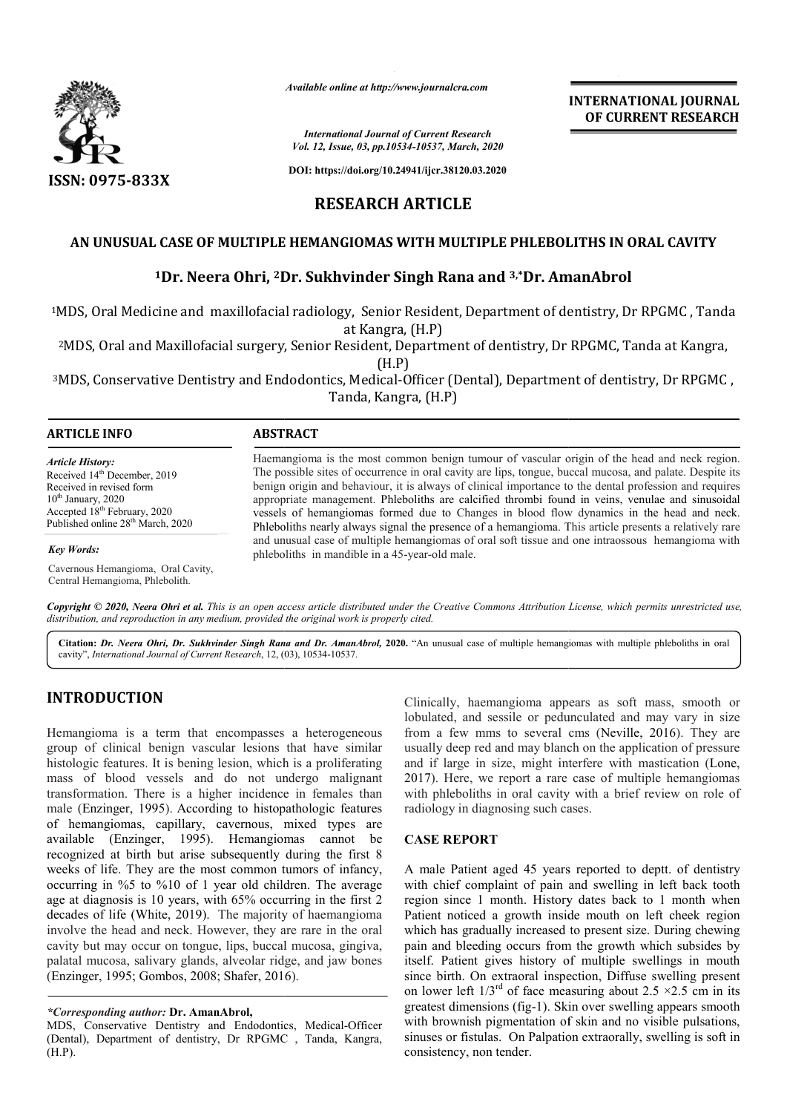

*Available online at http://www.journalcra.com*

*International Journal of Current Research Vol. 12, Issue, 03, pp.10534-10537, March, 2020*

**DOI: https://doi.org/10.24941/ijcr.38120.03.2020**

# **RESEARCH ARTICLE**

## AN UNUSUAL CASE OF MULTIPLE HEMANGIOMAS WITH MULTIPLE PHLEBOLITHS IN ORAL CAVITY

## **1Dr. Neera Ohri, 2Dr Dr. Sukhvinder Singh Rana and 3,\*Dr. AmanAbrol**

1MDS, Oral Medicine and maxillofacial radiology, Senior Resident, Department of dentistry, Dr RPGMC , Tanda MDS, at Kangra, (H.P) MDS, Oral Medicine and maxillofacial radiology, Senior Resident, Department of dentistry, Dr RPGMC , Tanda<br>at Kangra, (H.P)<br>MDS, Oral and Maxillofacial surgery, Senior Resident, Department of dentistry, Dr RPGMC, Tanda a

(H.P)

<sup>3</sup>MDS, Conservative Dentistry and Endodontics, Medical-Officer (Dental), Department of dentistry, Dr RPGMC, Tanda, Kangra, (H.P)

#### **ARTICLE INFO ABSTRACT**

*Article History:* Received 14<sup>th</sup> December, 2019 Received in revised form  $10<sup>th</sup>$  January, 2020 Accepted 18<sup>th</sup> February, 2020 Published online 28<sup>th</sup> March, 2020

*Key Words:*

Cavernous Hemangioma, Oral Cavity, Central Hemangioma, Phlebolith.

Haemangioma is the most common benign tumour of vascular origin of the head and neck region. The possible sites of occurrence in oral cavity are lips, tongue, buccal mucosa, and palate. Despite its benign origin and behaviour, it is always of clinical importance to the dental profession and requires Haemangioma is the most common benign tumour of vascular origin of the head and neck region.<br>The possible sites of occurrence in oral cavity are lips, tongue, buccal mucosa, and palate. Despite its<br>benign origin and behavi vessels of hemangiomas formed due to Changes in blood flow dynamics in the head and neck. Phleboliths nearly always signal the presence of a hemangioma. This article presents a relatively rare Phleboliths nearly always signal the presence of a hemangioma. This article presents a relatively rare and unusual case of multiple hemangiomas of oral soft tissue and one intraossous hemangioma with phleboliths in mandible in a 45 45-year-old male.

Copyright © 2020, Neera Ohri et al. This is an open access article distributed under the Creative Commons Attribution License, which permits unrestricted use, *distribution, and reproduction in any medium, provided the original work is properly cited.*

Citation: Dr. Neera Ohri, Dr. Sukhvinder Singh Rana and Dr. AmanAbrol, 2020. "An unusual case of multiple hemangiomas with multiple phleboliths in oral cavity", *International Journal of Current Research*, 12, ( 03), 10534-10537.

# **INTRODUCTION**

Hemangioma is a term that encompasses a heterogeneous group of clinical benign vascular lesions that have similar histologic features. It is bening lesion, which is a proliferating mass of blood vessels and do not undergo malignant transformation. There is a higher incidence in females than male (Enzinger, 1995). According to histopathologic features of hemangiomas, capillary, cavernous, mixed types are available (Enzinger, 1995). Hemangiomas cannot be recognized at birth but arise subsequently during the first 8 weeks of life. They are the most common tumors of infancy, occurring in %5 to %10 of 1 year old children. The average age at diagnosis is 10 years, with 65% occurring in the first 2 decades of life (White, 2019). The majority of haemangioma involve the head and neck. However, they are rare in the oral cavity but may occur on tongue, lips, buccal mucosa, gingiva, palatal mucosa, salivary glands, alveolar ridge, and jaw bones (Enzinger, 1995; Gombos, 2008; Shafer, 2016 cognized at birth but arise subsequently durecks of life. They are the most common tum<br>ccurring in %5 to %10 of 1 year old children<br>ge at diagnosis is 10 years, with 65% occurrin<br>cades of life (White, 2019). The majority o

### *\*Corresponding author:* **Dr. AmanAbrol,**

MDS, Conservative Dentistry and Endodontics, Medical-Officer (Dental), Department of dentistry, Dr RPGMC , Tanda, Kangra, (H.P).

Clinically, haemangioma appears as soft mass, smooth or Clinically, haemangioma appears as soft mass, smooth or lobulated, and sessile or pedunculated and may vary in size from a few mms to several cms (Neville, 2016). They are usually deep red and may blanch on the application of pressure usually deep red and may blanch on the application of pressure<br>and if large in size, might interfere with mastication (Lone, 2017). Here, we report a rare case of multiple hemangiomas with phleboliths in oral cavity with a brief review on role of radiology in diagnosing such cases. Freport a rare case of multiple hemangiomas<br>phleboliths in oral cavity with a brief review on role of<br>logy in diagnosing such cases.<br>**E REPORT**<br>ale Patient aged 45 years reported to deptt. of dentistry<br>chief complaint of p

**INTERNATIONAL JOURNAL OF CURRENT RESEARCH**

### **CASE REPORT**

A male Patient aged 45 years reported to deptt. of dentistry with chief complaint of pain and swelling in left back tooth region since 1 month. History dates back to 1 month when Patient noticed a growth inside mouth on left cheek region which has gradually increased to present size. During chewing pain and bleeding occurs from the growth which subsides by itself. Patient gives history of multiple swellings in mouth itself. Patient gives history of multiple swellings in mouth since birth. On extraoral inspection, Diffuse swelling present on lower left  $1/3^{rd}$  of face measuring about 2.5  $\times$ 2.5 cm in its greatest dimensions (fig-1). Skin over swelling appears smooth with brownish pigmentation of skin and no visible pulsations, sinuses or fistulas. On Palpation extraorally, swelling is soft in consistency, non tender. since 1 month. History dates back to 1 mon<br>noticed a growth inside mouth on left chee<br>as gradually increased to present size. During l lower left  $1/3^{rd}$  of face measuring about 2.5 ×2.5 cm in its eatest dimensions (fig-1). Skin over swelling appears smooth th brownish pigmentation of skin and no visible pulsations, nuses or fistulas. On Palpation ext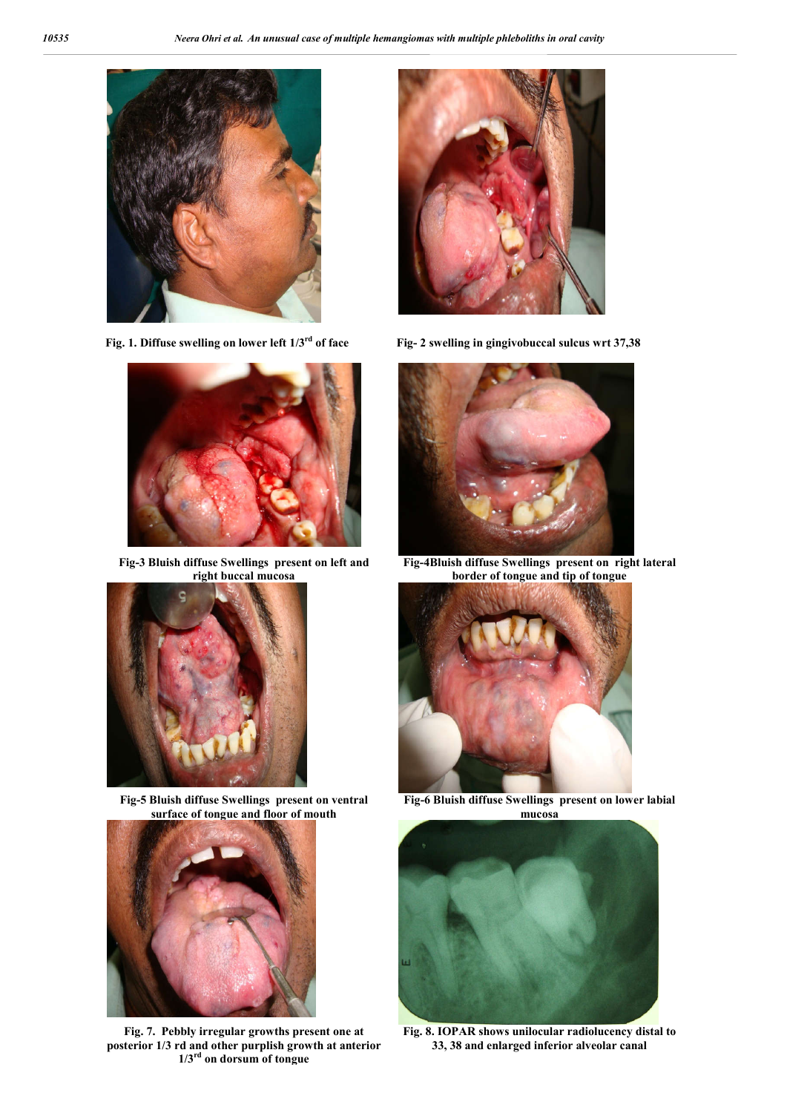



**Fig-3 Bluish diffuse Swellings present on left and right buccal mucosa**



**Fig-5 Bluish diffuse Swellings present on ventral surface of tongue and floor of mouth**



**Fig. 7. Pebbly irregular growths present one at posterior 1/3 rd and other purplish growth at anterior 1/3rd on dorsum of tongue**



**Fig. 1. Diffuse swelling on lower left 1/3rd of face Fig- 2 swelling in gingivobuccal sulcus wrt 37,38**



**Fig-4Bluish diffuse Swellings present on right lateral border of tongue and tip of tongue**



**Fig-6 Bluish diffuse Swellings present on lower labial mucosa**



**Fig. 8. IOPAR shows unilocular radiolucency distal to 33, 38 and enlarged inferior alveolar canal**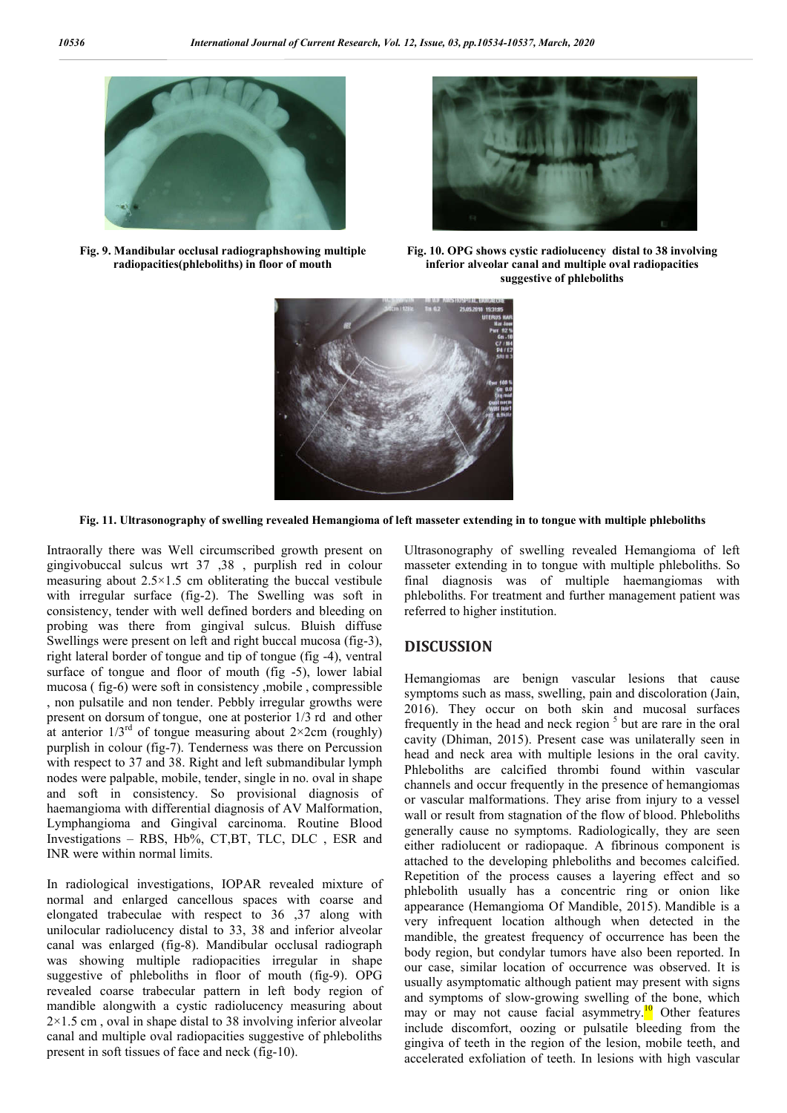

**Fig. 9. Mandibular occlusal radiographshowing multiple radiopacities(phleboliths) in floor of mouth**



**Fig. 10. OPG shows cystic radiolucency distal to 38 involving inferior alveolar canal and multiple oval radiopacities suggestive of phleboliths**



**Fig. 11. Ultrasonography of swelling revealed Hemangioma of left masseter extending in to tongue with multiple phleboliths**

Intraorally there was Well circumscribed growth present on gingivobuccal sulcus wrt 37 ,38 , purplish red in colour measuring about 2.5×1.5 cm obliterating the buccal vestibule with irregular surface (fig-2). The Swelling was soft in consistency, tender with well defined borders and bleeding on probing was there from gingival sulcus. Bluish diffuse Swellings were present on left and right buccal mucosa (fig-3), right lateral border of tongue and tip of tongue (fig -4), ventral surface of tongue and floor of mouth (fig -5), lower labial mucosa ( fig-6) were soft in consistency ,mobile , compressible , non pulsatile and non tender. Pebbly irregular growths were present on dorsum of tongue, one at posterior 1/3 rd and other at anterior  $1/3^{rd}$  of tongue measuring about  $2\times 2$ cm (roughly) purplish in colour (fig-7). Tenderness was there on Percussion with respect to 37 and 38. Right and left submandibular lymph nodes were palpable, mobile, tender, single in no. oval in shape and soft in consistency. So provisional diagnosis of haemangioma with differential diagnosis of AV Malformation, Lymphangioma and Gingival carcinoma. Routine Blood Investigations – RBS, Hb%, CT,BT, TLC, DLC , ESR and INR were within normal limits.

In radiological investigations, IOPAR revealed mixture of normal and enlarged cancellous spaces with coarse and elongated trabeculae with respect to 36 ,37 along with unilocular radiolucency distal to 33, 38 and inferior alveolar canal was enlarged (fig-8). Mandibular occlusal radiograph was showing multiple radiopacities irregular in shape suggestive of phleboliths in floor of mouth (fig-9). OPG revealed coarse trabecular pattern in left body region of mandible alongwith a cystic radiolucency measuring about  $2\times1.5$  cm, oval in shape distal to 38 involving inferior alveolar canal and multiple oval radiopacities suggestive of phleboliths present in soft tissues of face and neck (fig-10).

Ultrasonography of swelling revealed Hemangioma of left masseter extending in to tongue with multiple phleboliths. So final diagnosis was of multiple haemangiomas with phleboliths. For treatment and further management patient was referred to higher institution.

## **DISCUSSION**

Hemangiomas are benign vascular lesions that cause symptoms such as mass, swelling, pain and discoloration (Jain, 2016). They occur on both skin and mucosal surfaces frequently in the head and neck region  $5$  but are rare in the oral cavity (Dhiman, 2015). Present case was unilaterally seen in head and neck area with multiple lesions in the oral cavity. Phleboliths are calcified thrombi found within vascular channels and occur frequently in the presence of hemangiomas or vascular malformations. They arise from injury to a vessel wall or result from stagnation of the flow of blood. Phleboliths generally cause no symptoms. Radiologically, they are seen either radiolucent or radiopaque. A fibrinous component is attached to the developing phleboliths and becomes calcified. Repetition of the process causes a layering effect and so phlebolith usually has a concentric ring or onion like appearance (Hemangioma Of Mandible, 2015). Mandible is a very infrequent location although when detected in the mandible, the greatest frequency of occurrence has been the body region, but condylar tumors have also been reported. In our case, similar location of occurrence was observed. It is usually asymptomatic although patient may present with signs and symptoms of slow-growing swelling of the bone, which may or may not cause facial asymmetry.<sup>10</sup> Other features include discomfort, oozing or pulsatile bleeding from the gingiva of teeth in the region of the lesion, mobile teeth, and accelerated exfoliation of teeth. In lesions with high vascular